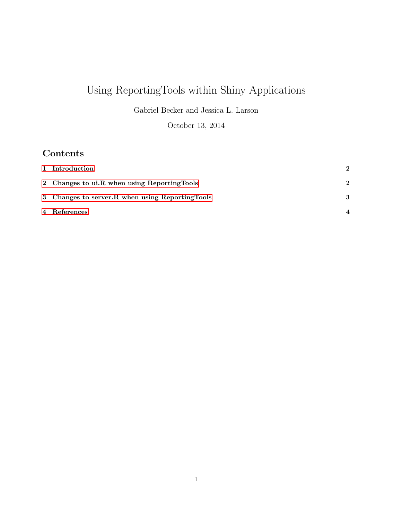# Using ReportingTools within Shiny Applications

Gabriel Becker and Jessica L. Larson

October 13, 2014

# Contents

| 1 Introduction                                    | $\mathbf{2}$     |
|---------------------------------------------------|------------------|
| 2 Changes to ui.R when using ReportingTools       | $\bf{2}$         |
| 3 Changes to server. R when using Reporting Tools | 3                |
| 4 References                                      | $\boldsymbol{4}$ |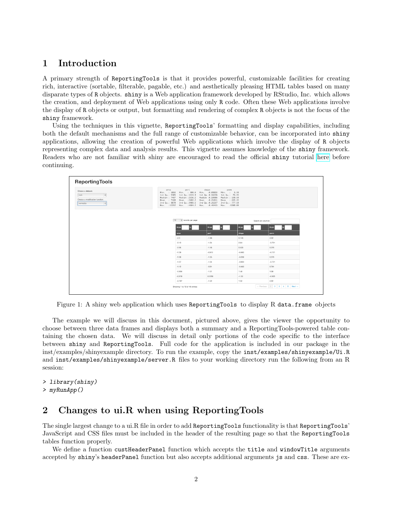### <span id="page-1-0"></span>1 Introduction

A primary strength of ReportingTools is that it provides powerful, customizable facilities for creating rich, interactive (sortable, filterable, pagable, etc.) and aesthetically pleasing HTML tables based on many disparate types of R objects. shiny is a Web application framework developed by RStudio, Inc. which allows the creation, and deployment of Web applications using only R code. Often these Web applications involve the display of R objects or output, but formatting and rendering of complex R objects is not the focus of the shiny framework.

Using the techniques in this vignette, ReportingTools' formatting and display capabilities, including both the default mechanisms and the full range of customizable behavior, can be incorporated into shiny applications, allowing the creation of powerful Web applications which involve the display of R objects representing complex data and analysis results. This vignette assumes knowledge of the shiny framework. Readers who are not familiar with shiny are encouraged to read the official shiny tutorial [here](http://rstudio.github.com/shiny/tutorial/) before continuing.

| Choose a dataset:<br>$\bullet$<br>Choose a modification function:<br>normalize<br>$\ddot{\phantom{a}}$ | peri<br>area<br>Max. : 12212 | shape<br>perm<br>Min. : 1016 Min. : 308.6 Min. : 0.09033 Min. : 6.30<br>1st Qu.: 5305 1st Qu.:1414.9 1st Qu.:0.16226<br>1st Qu.: 76.45<br>Median : 7487 Nedian : 2536.2 Nedian : 0.19886<br>Median : 130.50<br>Mean : 7188 Nean : 2682.2 Mean : 0.21811<br>Mean : 415.45<br>3rd Qu.: 8870 3rd Qu.:3989.5 3rd Qu.:0.26267 3rd Qu.: 777.50<br>Max. : 4864.2 Max. : 0.46413 Max. : 1300.00 |          |                     |  |  |
|--------------------------------------------------------------------------------------------------------|------------------------------|-----------------------------------------------------------------------------------------------------------------------------------------------------------------------------------------------------------------------------------------------------------------------------------------------------------------------------------------------------------------------------------------|----------|---------------------|--|--|
|                                                                                                        | 10<br>¢ records per page     |                                                                                                                                                                                                                                                                                                                                                                                         |          | Search all columns: |  |  |
|                                                                                                        | to<br>From                   | From<br>to                                                                                                                                                                                                                                                                                                                                                                              | From     | From                |  |  |
|                                                                                                        | area                         | peri                                                                                                                                                                                                                                                                                                                                                                                    | shape    | perm                |  |  |
|                                                                                                        | $-2.3$                       | $-1.66$                                                                                                                                                                                                                                                                                                                                                                                 | 0.143    | 2.02                |  |  |
|                                                                                                        | $-2.13$                      | $-1.54$                                                                                                                                                                                                                                                                                                                                                                                 | 2.64     | $-0.721$            |  |  |
|                                                                                                        | $-2.06$                      | $-1.46$                                                                                                                                                                                                                                                                                                                                                                                 | 0.533    | 0.376               |  |  |
|                                                                                                        | $-1.39$                      | $-0.912$                                                                                                                                                                                                                                                                                                                                                                                | $-0.493$ | $-0.721$            |  |  |
|                                                                                                        | $-1.38$                      | $-1.05$                                                                                                                                                                                                                                                                                                                                                                                 | $-0.208$ | 0.376               |  |  |
|                                                                                                        | $-1.37$                      | $-1.04$                                                                                                                                                                                                                                                                                                                                                                                 | $-0.653$ | $-0.721$            |  |  |
|                                                                                                        | $-1.12$                      | $-0.91$                                                                                                                                                                                                                                                                                                                                                                                 | $-0.463$ | 0.741               |  |  |
|                                                                                                        | $-0.854$                     | $-1.01$                                                                                                                                                                                                                                                                                                                                                                                 | 1.48     | 1.08                |  |  |
|                                                                                                        | $-0.819$                     | 0.0766                                                                                                                                                                                                                                                                                                                                                                                  | $-1.63$  | $-0.935$            |  |  |
|                                                                                                        | $-0.797$                     | $-1.22$                                                                                                                                                                                                                                                                                                                                                                                 | 1.32     | 2.02                |  |  |

Figure 1: A shiny web application which uses ReportingTools to display R data.frame objects

The example we will discuss in this document, pictured above, gives the viewer the opportunity to choose between three data frames and displays both a summary and a ReportingTools-powered table containing the chosen data. We will discuss in detail only portions of the code specific to the interface between shiny and ReportingTools. Full code for the application is included in our package in the inst/examples/shinyexample directory. To run the example, copy the inst/examples/shinyexample/Ui.R and inst/examples/shinyexample/server.R files to your working directory run the following from an R session:

> library(shiny) > myRunApp()

### <span id="page-1-1"></span>2 Changes to ui.R when using ReportingTools

The single largest change to a ui.R file in order to add ReportingTools functionality is that ReportingTools' JavaScript and CSS files must be included in the header of the resulting page so that the ReportingTools tables function properly.

We define a function custHeaderPanel function which accepts the title and windowTitle arguments accepted by shiny's headerPanel function but also accepts additional arguments js and css. These are ex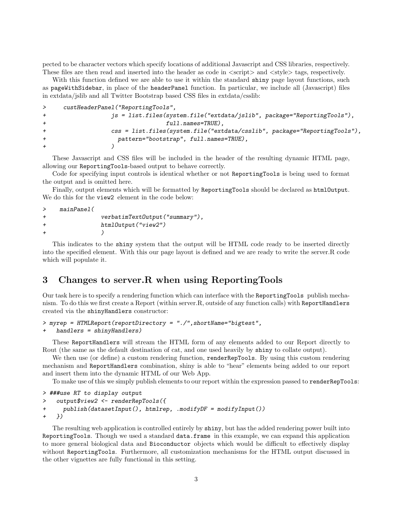pected to be character vectors which specify locations of additional Javascript and CSS libraries, respectively. These files are then read and inserted into the header as code in  $\langle$ script $\rangle$  and  $\langle$ style $\rangle$  tags, respectively.

With this function defined we are able to use it within the standard shiny page layout functions, such as pageWithSidebar, in place of the headerPanel function. In particular, we include all (Javascript) files in extdata/jslib and all Twitter Bootstrap based CSS files in extdata/csslib:

```
> custHeaderPanel("ReportingTools",
+ js = list.files(system.file("extdata/jslib", package="ReportingTools"),
+ full.names=TRUE),
+ css = list.files(system.file("extdata/csslib", package="ReportingTools"),
+ pattern="bootstrap", full.names=TRUE),
+ )
```
These Javascript and CSS files will be included in the header of the resulting dynamic HTML page, allowing our ReportingTools-based output to behave correctly.

Code for specifying input controls is identical whether or not ReportingTools is being used to format the output and is omitted here.

Finally, output elements which will be formatted by ReportingTools should be declared as htmlOutput. We do this for the view2 element in the code below:

```
> mainPanel(
+ verbatimTextOutput("summary"),
+ htmlOutput("view2")
+ )
```
This indicates to the shiny system that the output will be HTML code ready to be inserted directly into the specified element. With this our page layout is defined and we are ready to write the server.R code which will populate it.

#### <span id="page-2-0"></span>3 Changes to server.R when using ReportingTools

Our task here is to specify a rendering function which can interface with the ReportingTools publish mechanism. To do this we first create a Report (within server.R, outside of any function calls) with ReportHandlers created via the shinyHandlers constructor:

```
> myrep = HTMLReport(reportDirectory = "./",shortName="bigtest",
```

```
handlers = shinyHandlers)
```
These ReportHandlers will stream the HTML form of any elements added to our Report directly to Rout (the same as the default destination of cat, and one used heavily by shiny to collate output).

We then use (or define) a custom rendering function, renderRepTools. By using this custom rendering mechanism and ReportHandlers combination, shiny is able to "hear" elements being added to our report and insert them into the dynamic HTML of our Web App.

To make use of this we simply publish elements to our report within the expression passed to renderRepTools:

```
> ###use RT to display output
> output$view2 <- renderRepTools({
+ publish(datasetInput(), htmlrep, .modifyDF = modifyInput())
+ })
```
The resulting web application is controlled entirely by shiny, but has the added rendering power built into ReportingTools. Though we used a standard data.frame in this example, we can expand this application to more general biological data and Bioconductor objects which would be difficult to effectively display without ReportingTools. Furthermore, all customization mechanisms for the HTML output discussed in the other vignettes are fully functional in this setting.